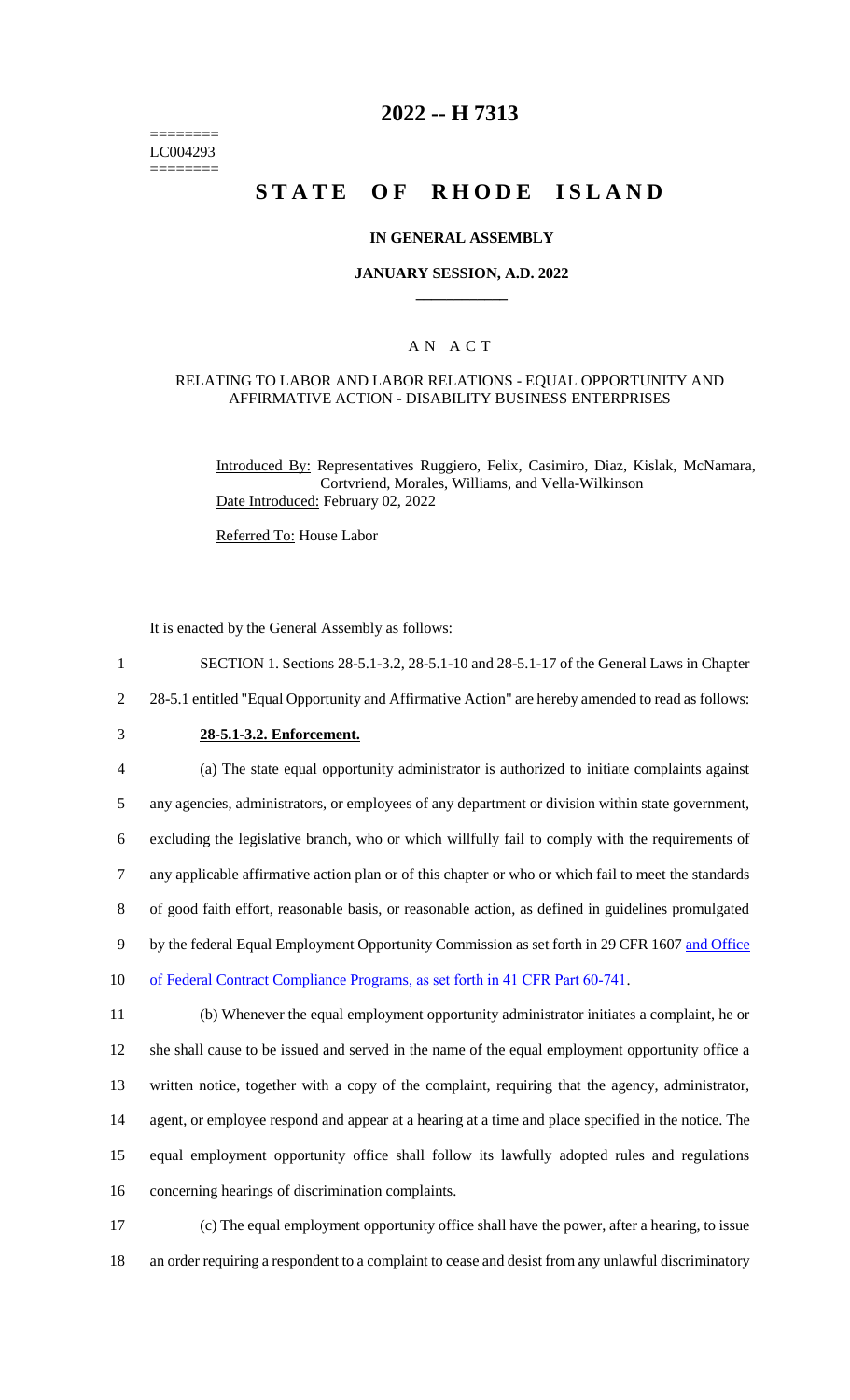======== LC004293 ========

## **2022 -- H 7313**

## **STATE OF RHODE ISLAND**

#### **IN GENERAL ASSEMBLY**

#### **JANUARY SESSION, A.D. 2022 \_\_\_\_\_\_\_\_\_\_\_\_**

### A N A C T

#### RELATING TO LABOR AND LABOR RELATIONS - EQUAL OPPORTUNITY AND AFFIRMATIVE ACTION - DISABILITY BUSINESS ENTERPRISES

Introduced By: Representatives Ruggiero, Felix, Casimiro, Diaz, Kislak, McNamara, Cortvriend, Morales, Williams, and Vella-Wilkinson Date Introduced: February 02, 2022

Referred To: House Labor

It is enacted by the General Assembly as follows:

 SECTION 1. Sections 28-5.1-3.2, 28-5.1-10 and 28-5.1-17 of the General Laws in Chapter 28-5.1 entitled "Equal Opportunity and Affirmative Action" are hereby amended to read as follows: **28-5.1-3.2. Enforcement.** (a) The state equal opportunity administrator is authorized to initiate complaints against any agencies, administrators, or employees of any department or division within state government, excluding the legislative branch, who or which willfully fail to comply with the requirements of any applicable affirmative action plan or of this chapter or who or which fail to meet the standards of good faith effort, reasonable basis, or reasonable action, as defined in guidelines promulgated 9 by the federal Equal Employment Opportunity Commission as set forth in 29 CFR 1607 and Office 10 of Federal Contract Compliance Programs, as set forth in 41 CFR Part 60-741. (b) Whenever the equal employment opportunity administrator initiates a complaint, he or she shall cause to be issued and served in the name of the equal employment opportunity office a written notice, together with a copy of the complaint, requiring that the agency, administrator, agent, or employee respond and appear at a hearing at a time and place specified in the notice. The equal employment opportunity office shall follow its lawfully adopted rules and regulations concerning hearings of discrimination complaints. (c) The equal employment opportunity office shall have the power, after a hearing, to issue an order requiring a respondent to a complaint to cease and desist from any unlawful discriminatory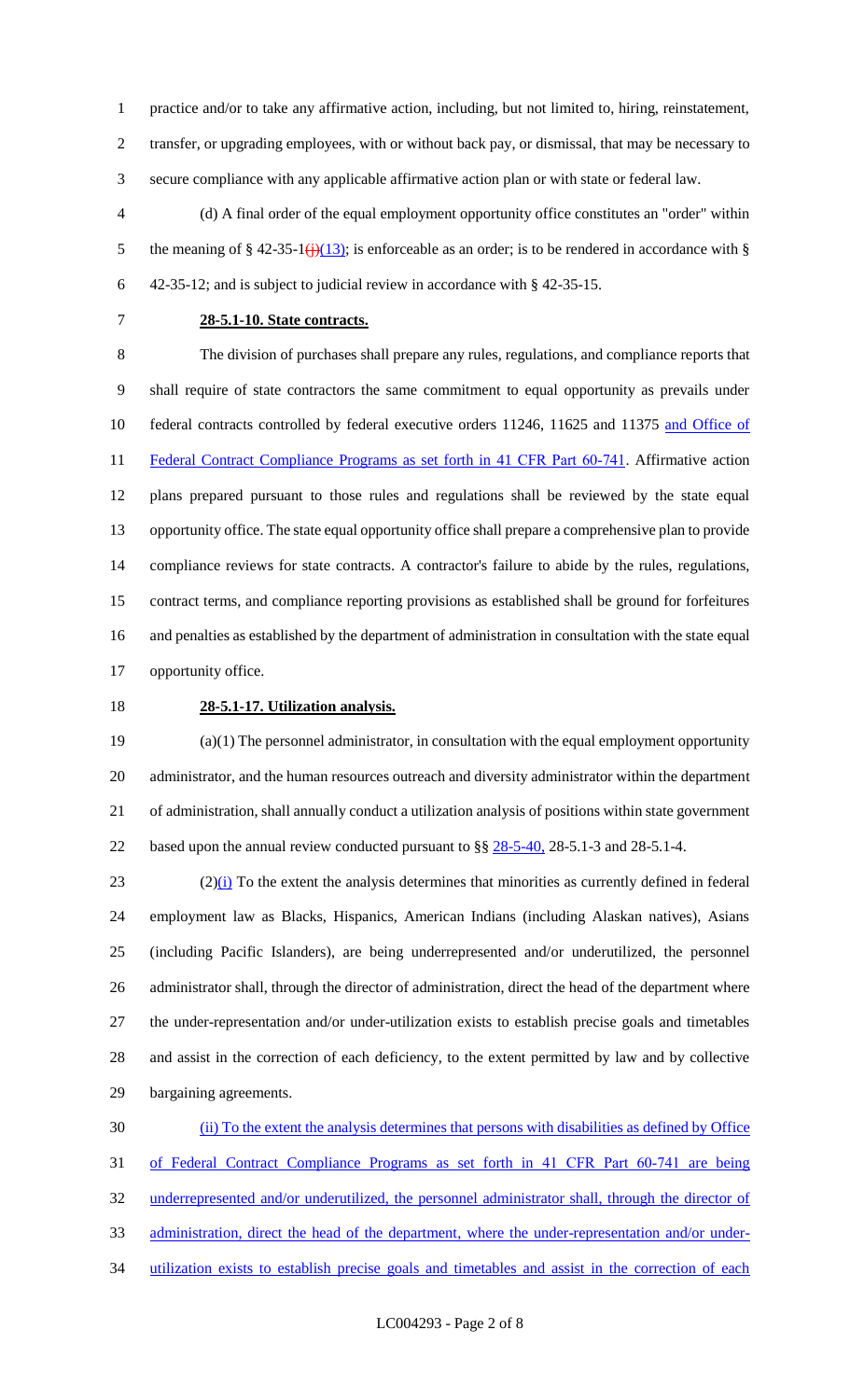practice and/or to take any affirmative action, including, but not limited to, hiring, reinstatement,

 transfer, or upgrading employees, with or without back pay, or dismissal, that may be necessary to secure compliance with any applicable affirmative action plan or with state or federal law.

 (d) A final order of the equal employment opportunity office constitutes an "order" within 5 the meaning of § 42-35-1( $\frac{1}{1}(13)$ ; is enforceable as an order; is to be rendered in accordance with § 42-35-12; and is subject to judicial review in accordance with § 42-35-15.

## **28-5.1-10. State contracts.**

 The division of purchases shall prepare any rules, regulations, and compliance reports that shall require of state contractors the same commitment to equal opportunity as prevails under 10 federal contracts controlled by federal executive orders 11246, 11625 and 11375 and Office of 11 Federal Contract Compliance Programs as set forth in 41 CFR Part 60-741. Affirmative action plans prepared pursuant to those rules and regulations shall be reviewed by the state equal opportunity office. The state equal opportunity office shall prepare a comprehensive plan to provide compliance reviews for state contracts. A contractor's failure to abide by the rules, regulations, contract terms, and compliance reporting provisions as established shall be ground for forfeitures and penalties as established by the department of administration in consultation with the state equal opportunity office.

## **28-5.1-17. Utilization analysis.**

 (a)(1) The personnel administrator, in consultation with the equal employment opportunity administrator, and the human resources outreach and diversity administrator within the department of administration, shall annually conduct a utilization analysis of positions within state government 22 based upon the annual review conducted pursuant to §§  $28-5-40$ , 28-5.1-3 and 28-5.1-4.

 $(2)(i)$  To the extent the analysis determines that minorities as currently defined in federal employment law as Blacks, Hispanics, American Indians (including Alaskan natives), Asians (including Pacific Islanders), are being underrepresented and/or underutilized, the personnel administrator shall, through the director of administration, direct the head of the department where the under-representation and/or under-utilization exists to establish precise goals and timetables and assist in the correction of each deficiency, to the extent permitted by law and by collective bargaining agreements.

 (ii) To the extent the analysis determines that persons with disabilities as defined by Office 31 of Federal Contract Compliance Programs as set forth in 41 CFR Part 60-741 are being underrepresented and/or underutilized, the personnel administrator shall, through the director of 33 administration, direct the head of the department, where the under-representation and/or under-34 utilization exists to establish precise goals and timetables and assist in the correction of each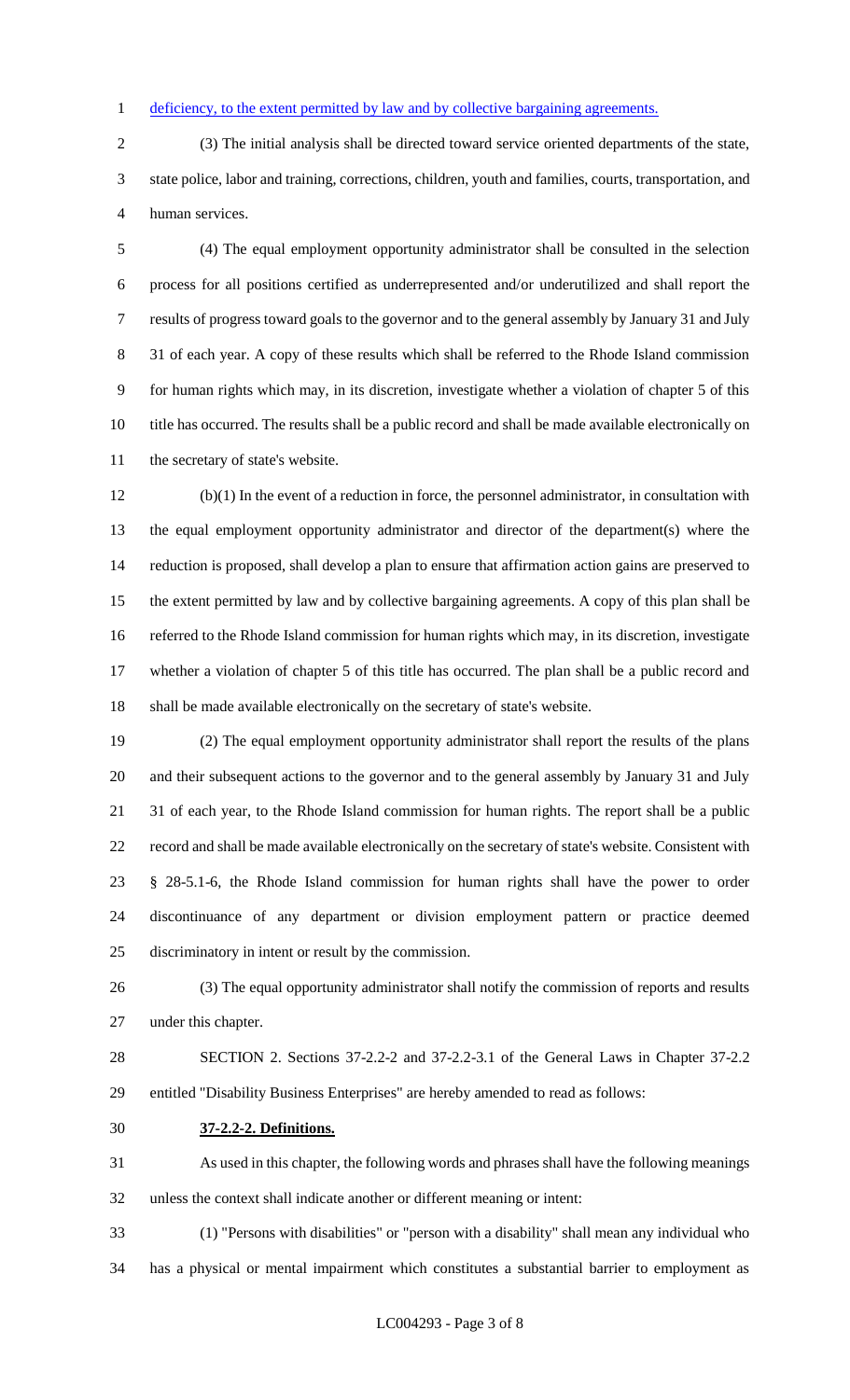#### 1 deficiency, to the extent permitted by law and by collective bargaining agreements.

 (3) The initial analysis shall be directed toward service oriented departments of the state, state police, labor and training, corrections, children, youth and families, courts, transportation, and human services.

 (4) The equal employment opportunity administrator shall be consulted in the selection process for all positions certified as underrepresented and/or underutilized and shall report the results of progress toward goals to the governor and to the general assembly by January 31 and July 31 of each year. A copy of these results which shall be referred to the Rhode Island commission for human rights which may, in its discretion, investigate whether a violation of chapter 5 of this title has occurred. The results shall be a public record and shall be made available electronically on the secretary of state's website.

 (b)(1) In the event of a reduction in force, the personnel administrator, in consultation with the equal employment opportunity administrator and director of the department(s) where the reduction is proposed, shall develop a plan to ensure that affirmation action gains are preserved to the extent permitted by law and by collective bargaining agreements. A copy of this plan shall be referred to the Rhode Island commission for human rights which may, in its discretion, investigate whether a violation of chapter 5 of this title has occurred. The plan shall be a public record and shall be made available electronically on the secretary of state's website.

 (2) The equal employment opportunity administrator shall report the results of the plans and their subsequent actions to the governor and to the general assembly by January 31 and July 31 of each year, to the Rhode Island commission for human rights. The report shall be a public record and shall be made available electronically on the secretary of state's website. Consistent with § 28-5.1-6, the Rhode Island commission for human rights shall have the power to order discontinuance of any department or division employment pattern or practice deemed discriminatory in intent or result by the commission.

 (3) The equal opportunity administrator shall notify the commission of reports and results under this chapter.

 SECTION 2. Sections 37-2.2-2 and 37-2.2-3.1 of the General Laws in Chapter 37-2.2 entitled "Disability Business Enterprises" are hereby amended to read as follows:

**37-2.2-2. Definitions.**

 As used in this chapter, the following words and phrases shall have the following meanings unless the context shall indicate another or different meaning or intent:

(1) "Persons with disabilities" or "person with a disability" shall mean any individual who

has a physical or mental impairment which constitutes a substantial barrier to employment as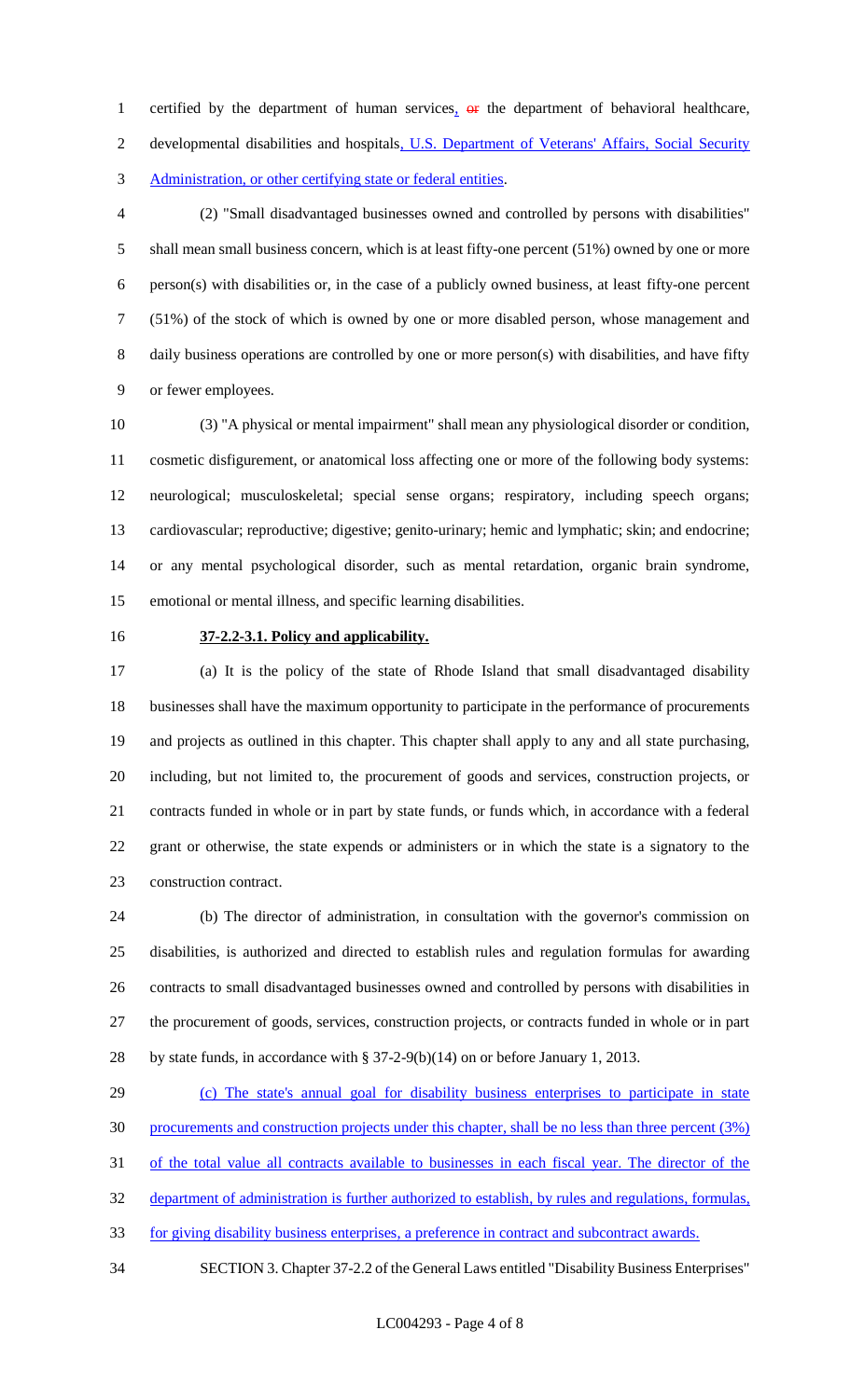1 certified by the department of human services, or the department of behavioral healthcare, 2 developmental disabilities and hospitals, U.S. Department of Veterans' Affairs, Social Security Administration, or other certifying state or federal entities.

 (2) "Small disadvantaged businesses owned and controlled by persons with disabilities" shall mean small business concern, which is at least fifty-one percent (51%) owned by one or more person(s) with disabilities or, in the case of a publicly owned business, at least fifty-one percent (51%) of the stock of which is owned by one or more disabled person, whose management and daily business operations are controlled by one or more person(s) with disabilities, and have fifty or fewer employees.

 (3) "A physical or mental impairment" shall mean any physiological disorder or condition, cosmetic disfigurement, or anatomical loss affecting one or more of the following body systems: neurological; musculoskeletal; special sense organs; respiratory, including speech organs; cardiovascular; reproductive; digestive; genito-urinary; hemic and lymphatic; skin; and endocrine; or any mental psychological disorder, such as mental retardation, organic brain syndrome, emotional or mental illness, and specific learning disabilities.

#### **37-2.2-3.1. Policy and applicability.**

 (a) It is the policy of the state of Rhode Island that small disadvantaged disability businesses shall have the maximum opportunity to participate in the performance of procurements and projects as outlined in this chapter. This chapter shall apply to any and all state purchasing, including, but not limited to, the procurement of goods and services, construction projects, or contracts funded in whole or in part by state funds, or funds which, in accordance with a federal grant or otherwise, the state expends or administers or in which the state is a signatory to the construction contract.

 (b) The director of administration, in consultation with the governor's commission on disabilities, is authorized and directed to establish rules and regulation formulas for awarding contracts to small disadvantaged businesses owned and controlled by persons with disabilities in the procurement of goods, services, construction projects, or contracts funded in whole or in part by state funds, in accordance with § 37-2-9(b)(14) on or before January 1, 2013.

# (c) The state's annual goal for disability business enterprises to participate in state procurements and construction projects under this chapter, shall be no less than three percent (3%) of the total value all contracts available to businesses in each fiscal year. The director of the

department of administration is further authorized to establish, by rules and regulations, formulas,

for giving disability business enterprises, a preference in contract and subcontract awards.

SECTION 3. Chapter 37-2.2 of the General Laws entitled "Disability Business Enterprises"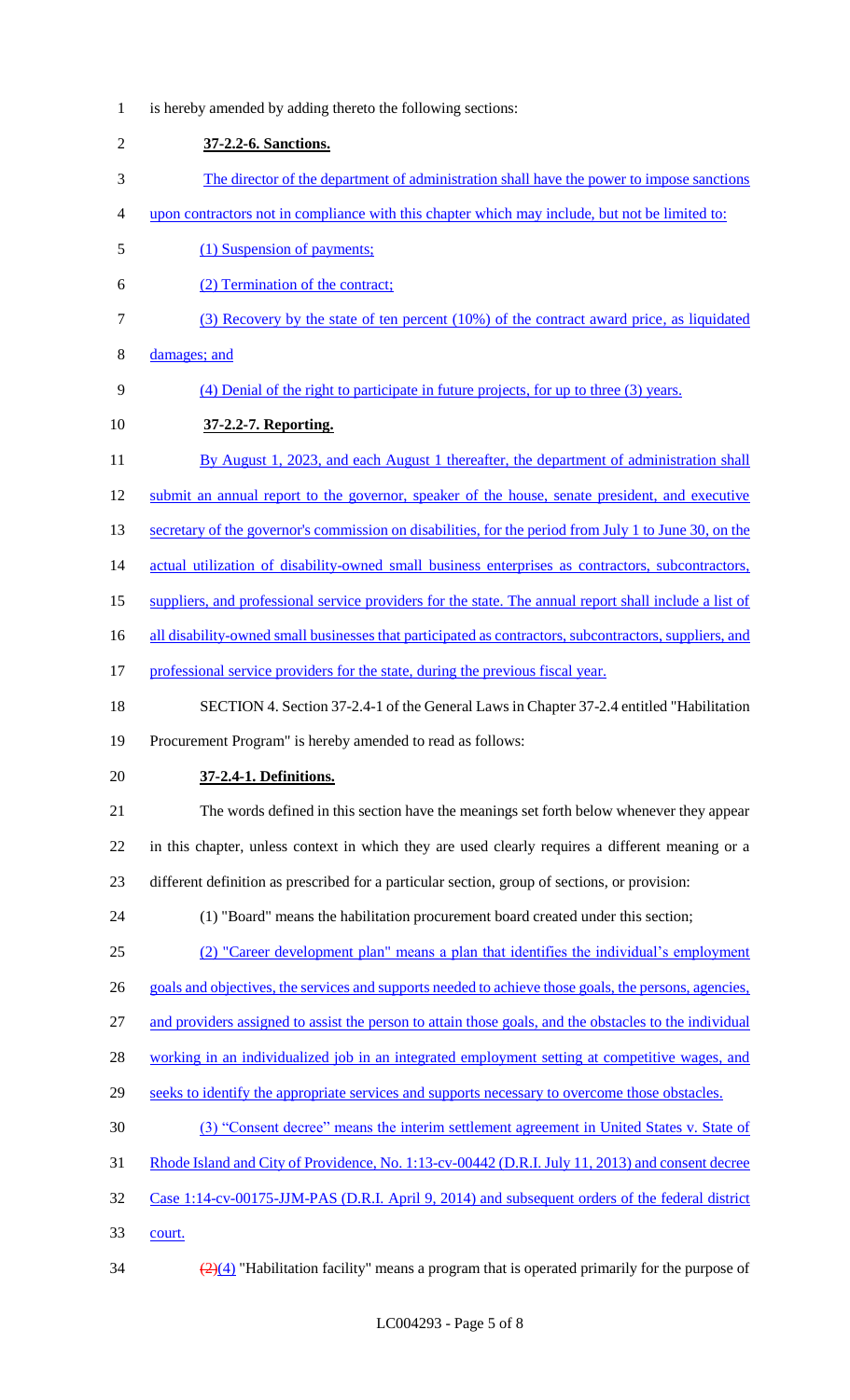- is hereby amended by adding thereto the following sections: **37-2.2-6. Sanctions.** The director of the department of administration shall have the power to impose sanctions upon contractors not in compliance with this chapter which may include, but not be limited to: (1) Suspension of payments; (2) Termination of the contract; (3) Recovery by the state of ten percent (10%) of the contract award price, as liquidated damages; and (4) Denial of the right to participate in future projects, for up to three (3) years. **37-2.2-7. Reporting.**  11 By August 1, 2023, and each August 1 thereafter, the department of administration shall 12 submit an annual report to the governor, speaker of the house, senate president, and executive 13 secretary of the governor's commission on disabilities, for the period from July 1 to June 30, on the 14 actual utilization of disability-owned small business enterprises as contractors, subcontractors, suppliers, and professional service providers for the state. The annual report shall include a list of 16 all disability-owned small businesses that participated as contractors, subcontractors, suppliers, and 17 professional service providers for the state, during the previous fiscal year. SECTION 4. Section 37-2.4-1 of the General Laws in Chapter 37-2.4 entitled "Habilitation Procurement Program" is hereby amended to read as follows: **37-2.4-1. Definitions.** The words defined in this section have the meanings set forth below whenever they appear in this chapter, unless context in which they are used clearly requires a different meaning or a different definition as prescribed for a particular section, group of sections, or provision: (1) "Board" means the habilitation procurement board created under this section; (2) "Career development plan" means a plan that identifies the individual's employment goals and objectives, the services and supports needed to achieve those goals, the persons, agencies, and providers assigned to assist the person to attain those goals, and the obstacles to the individual 28 working in an individualized job in an integrated employment setting at competitive wages, and 29 seeks to identify the appropriate services and supports necessary to overcome those obstacles. (3) "Consent decree" means the interim settlement agreement in United States v. State of Rhode Island and City of Providence, No. 1:13-cv-00442 (D.R.I. July 11, 2013) and consent decree Case 1:14-cv-00175-JJM-PAS (D.R.I. April 9, 2014) and subsequent orders of the federal district court.
- 

 $\frac{(2)(4)}{2}$  "Habilitation facility" means a program that is operated primarily for the purpose of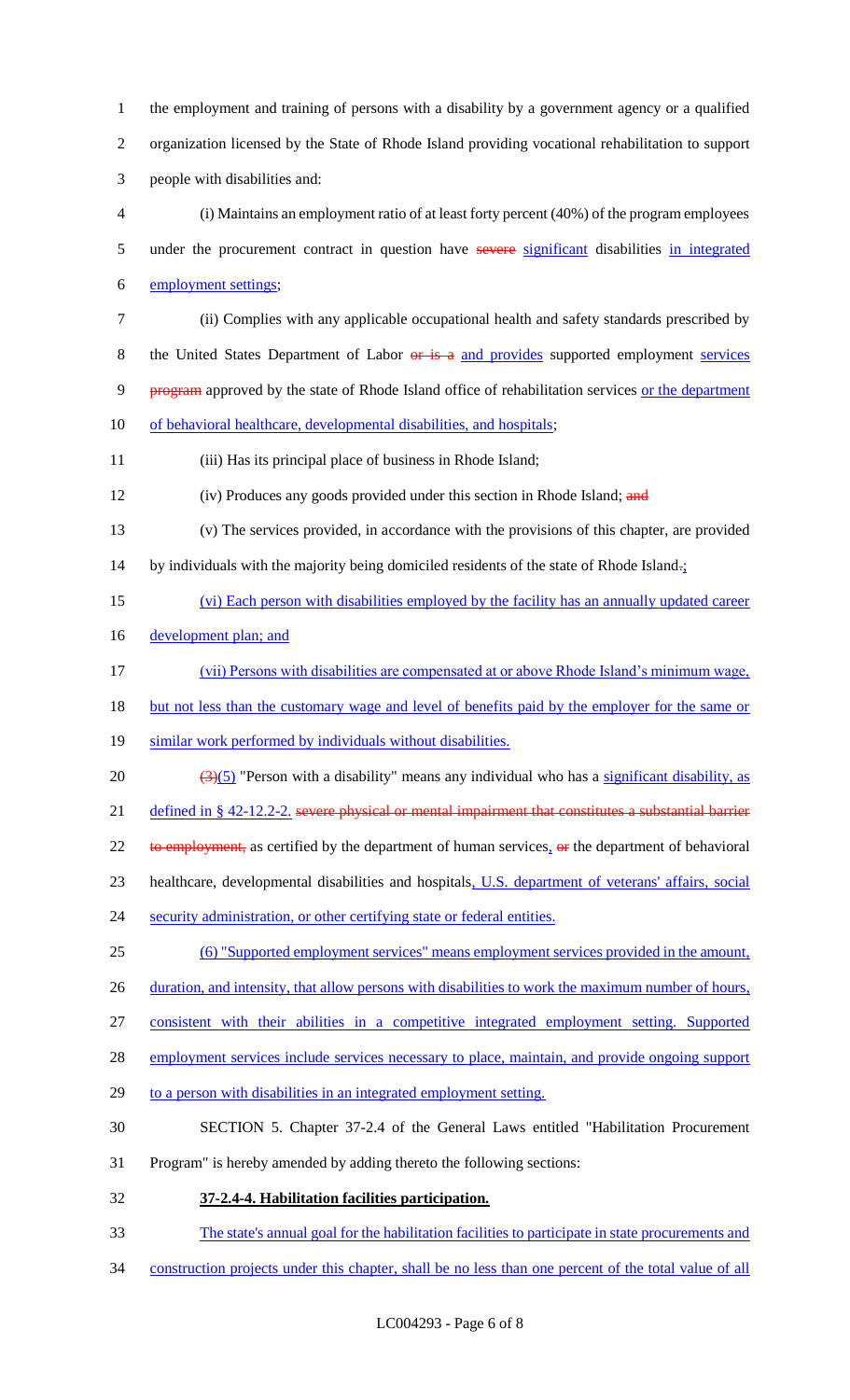1 the employment and training of persons with a disability by a government agency or a qualified 2 organization licensed by the State of Rhode Island providing vocational rehabilitation to support 3 people with disabilities and:

4 (i) Maintains an employment ratio of at least forty percent (40%) of the program employees 5 under the procurement contract in question have severe significant disabilities in integrated 6 employment settings;

7 (ii) Complies with any applicable occupational health and safety standards prescribed by 8 the United States Department of Labor or is a and provides supported employment services 9 program approved by the state of Rhode Island office of rehabilitation services or the department 10 of behavioral healthcare, developmental disabilities, and hospitals;

11 (iii) Has its principal place of business in Rhode Island;

- 12 (iv) Produces any goods provided under this section in Rhode Island; and
- 13 (v) The services provided, in accordance with the provisions of this chapter, are provided 14 by individuals with the majority being domiciled residents of the state of Rhode Island $\frac{1}{2}$
- 15 (vi) Each person with disabilities employed by the facility has an annually updated career
- 16 development plan; and
- 17 (vii) Persons with disabilities are compensated at or above Rhode Island's minimum wage,
- 18 but not less than the customary wage and level of benefits paid by the employer for the same or
- 19 similar work performed by individuals without disabilities.
- 20  $\left(\frac{3}{5}\right)$  "Person with a disability" means any individual who has a significant disability, as
- 21 defined in § 42-12.2-2. severe physical or mental impairment that constitutes a substantial barrier
- 22 to employment, as certified by the department of human services,  $\Theta$  is the department of behavioral
- 23 healthcare, developmental disabilities and hospitals, U.S. department of veterans' affairs, social
- 24 security administration, or other certifying state or federal entities.
- 25 (6) "Supported employment services" means employment services provided in the amount,
- 26 duration, and intensity, that allow persons with disabilities to work the maximum number of hours,
- 27 consistent with their abilities in a competitive integrated employment setting. Supported
- 28 employment services include services necessary to place, maintain, and provide ongoing support
- 29 to a person with disabilities in an integrated employment setting.
- 30 SECTION 5. Chapter 37-2.4 of the General Laws entitled "Habilitation Procurement
- 31 Program" is hereby amended by adding thereto the following sections:
- 32 **37-2.4-4. Habilitation facilities participation.**
- 33 The state's annual goal for the habilitation facilities to participate in state procurements and
- 34 construction projects under this chapter, shall be no less than one percent of the total value of all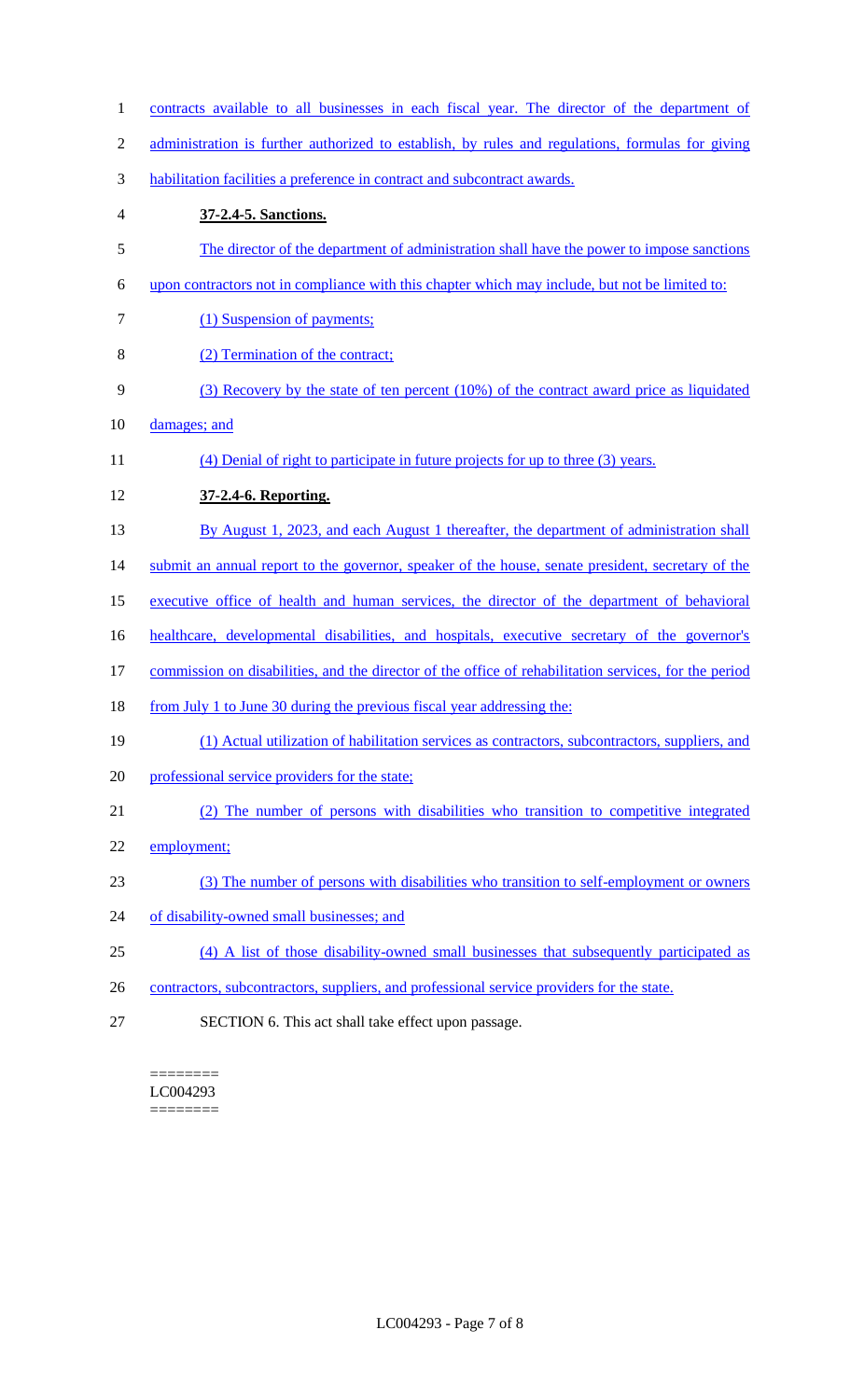| $\mathbf{1}$   | contracts available to all businesses in each fiscal year. The director of the department of          |
|----------------|-------------------------------------------------------------------------------------------------------|
| $\overline{2}$ | administration is further authorized to establish, by rules and regulations, formulas for giving      |
| 3              | habilitation facilities a preference in contract and subcontract awards.                              |
| 4              | 37-2.4-5. Sanctions.                                                                                  |
| 5              | The director of the department of administration shall have the power to impose sanctions             |
| 6              | upon contractors not in compliance with this chapter which may include, but not be limited to:        |
| 7              | (1) Suspension of payments;                                                                           |
| 8              | (2) Termination of the contract;                                                                      |
| 9              | (3) Recovery by the state of ten percent (10%) of the contract award price as liquidated              |
| 10             | damages; and                                                                                          |
| 11             | (4) Denial of right to participate in future projects for up to three (3) years.                      |
| 12             | 37-2.4-6. Reporting.                                                                                  |
| 13             | By August 1, 2023, and each August 1 thereafter, the department of administration shall               |
| 14             | submit an annual report to the governor, speaker of the house, senate president, secretary of the     |
| 15             | executive office of health and human services, the director of the department of behavioral           |
| 16             | healthcare, developmental disabilities, and hospitals, executive secretary of the governor's          |
| 17             | commission on disabilities, and the director of the office of rehabilitation services, for the period |
| 18             | <u>from July 1 to June 30 during the previous fiscal year addressing the:</u>                         |
| 19             | (1) Actual utilization of habilitation services as contractors, subcontractors, suppliers, and        |
| 20             | professional service providers for the state;                                                         |
| 21             | (2) The number of persons with disabilities who transition to competitive integrated                  |
| 22             | employment;                                                                                           |
| 23             | (3) The number of persons with disabilities who transition to self-employment or owners               |
| 24             | of disability-owned small businesses; and                                                             |
| 25             | (4) A list of those disability-owned small businesses that subsequently participated as               |
| 26             | contractors, subcontractors, suppliers, and professional service providers for the state.             |
| 27             | SECTION 6. This act shall take effect upon passage.                                                   |
|                |                                                                                                       |

======== LC004293 ========